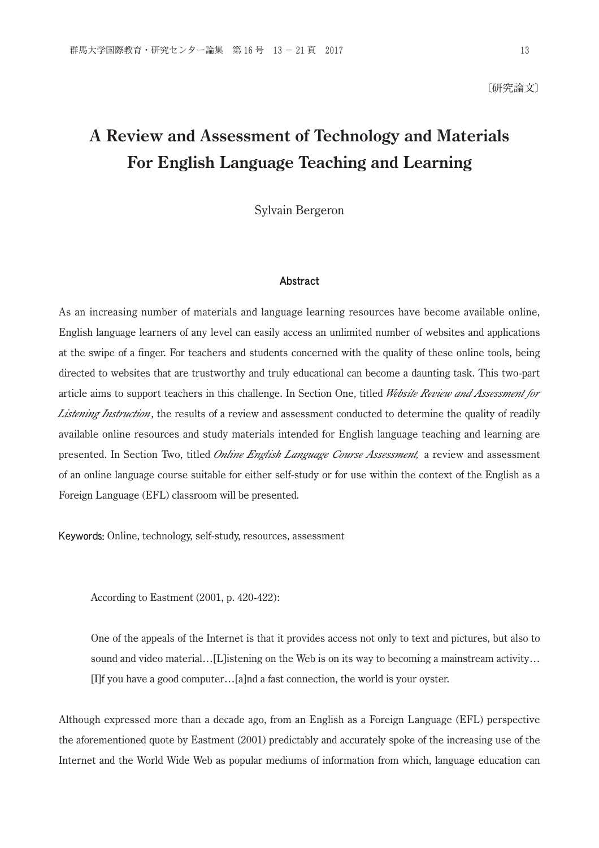# **A Review and Assessment of Technology and Materials For English Language Teaching and Learning**

Sylvain Bergeron

### Abstract

As an increasing number of materials and language learning resources have become available online, English language learners of any level can easily access an unlimited number of websites and applications at the swipe of a finger. For teachers and students concerned with the quality of these online tools, being directed to websites that are trustworthy and truly educational can become a daunting task. This two-part article aims to support teachers in this challenge. In Section One, titled *Website Review and Assessment for Listening Instruction*, the results of a review and assessment conducted to determine the quality of readily available online resources and study materials intended for English language teaching and learning are presented. In Section Two, titled *Online English Language Course Assessment,* a review and assessment of an online language course suitable for either self-study or for use within the context of the English as a Foreign Language (EFL) classroom will be presented.

Keywords: Online, technology, self-study, resources, assessment

According to Eastment (2001, p. 420-422):

 One of the appeals of the Internet is that it provides access not only to text and pictures, but also to sound and video material…[L]istening on the Web is on its way to becoming a mainstream activity... [I]f you have a good computer…[a]nd a fast connection, the world is your oyster.

Although expressed more than a decade ago, from an English as a Foreign Language (EFL) perspective the aforementioned quote by Eastment (2001) predictably and accurately spoke of the increasing use of the Internet and the World Wide Web as popular mediums of information from which, language education can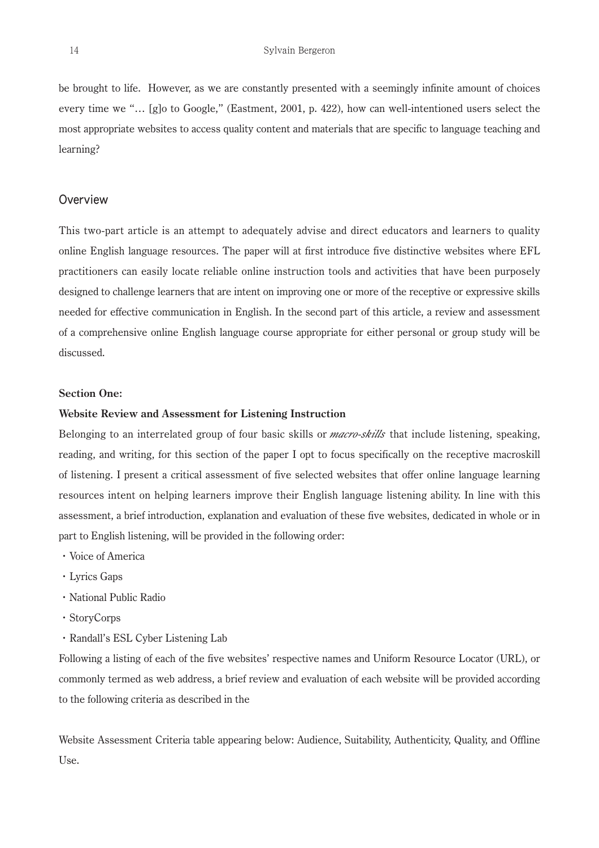be brought to life. However, as we are constantly presented with a seemingly infinite amount of choices every time we "… [g]o to Google," (Eastment, 2001, p. 422), how can well-intentioned users select the most appropriate websites to access quality content and materials that are specific to language teaching and learning?

### **Overview**

This two-part article is an attempt to adequately advise and direct educators and learners to quality online English language resources. The paper will at first introduce five distinctive websites where EFL practitioners can easily locate reliable online instruction tools and activities that have been purposely designed to challenge learners that are intent on improving one or more of the receptive or expressive skills needed for effective communication in English. In the second part of this article, a review and assessment of a comprehensive online English language course appropriate for either personal or group study will be discussed.

### **Section One:**

### **Website Review and Assessment for Listening Instruction**

Belonging to an interrelated group of four basic skills or *macro-skills* that include listening, speaking, reading, and writing, for this section of the paper I opt to focus specifically on the receptive macroskill of listening. I present a critical assessment of five selected websites that offer online language learning resources intent on helping learners improve their English language listening ability. In line with this assessment, a brief introduction, explanation and evaluation of these five websites, dedicated in whole or in part to English listening, will be provided in the following order:

- ・Voice of America
- ・Lyrics Gaps
- ・National Public Radio
- ・StoryCorps
- ・Randall's ESL Cyber Listening Lab

Following a listing of each of the five websites' respective names and Uniform Resource Locator (URL), or commonly termed as web address, a brief review and evaluation of each website will be provided according to the following criteria as described in the

Website Assessment Criteria table appearing below: Audience, Suitability, Authenticity, Quality, and Offline Use.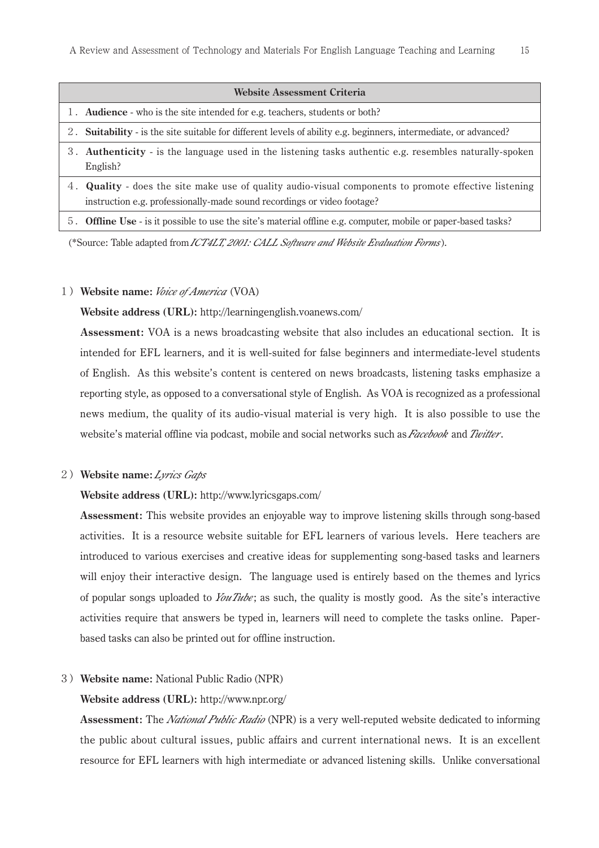| Website Assessment Criteria                                                                                                                                                             |
|-----------------------------------------------------------------------------------------------------------------------------------------------------------------------------------------|
| 1. Audience - who is the site intended for e.g. teachers, students or both?                                                                                                             |
| 2. Suitability - is the site suitable for different levels of ability e.g. beginners, intermediate, or advanced?                                                                        |
| 3. Authenticity - is the language used in the listening tasks authentic e.g. resembles naturally-spoken<br>English?                                                                     |
| 4. <b>Quality</b> - does the site make use of quality audio-visual components to promote effective listening<br>instruction e.g. professionally-made sound recordings or video footage? |
| 5. Offline Use - is it possible to use the site's material offline e.g. computer, mobile or paper-based tasks?                                                                          |

(\*Source: Table adapted from *ICT4LT, 2001: CALL Software and Website Evaluation Forms*).

### 1)**Website name:** *Voice of America* (VOA)

**Website address (URL):** http://learningenglish.voanews.com/

 **Assessment:** VOA is a news broadcasting website that also includes an educational section. It is intended for EFL learners, and it is well-suited for false beginners and intermediate-level students of English. As this website's content is centered on news broadcasts, listening tasks emphasize a reporting style, as opposed to a conversational style of English. As VOA is recognized as a professional news medium, the quality of its audio-visual material is very high. It is also possible to use the website's material offline via podcast, mobile and social networks such as *Facebook* and *Twitter*.

### 2)**Website name:***Lyrics Gaps*

### **Website address (URL):** http://www.lyricsgaps.com/

 **Assessment:** This website provides an enjoyable way to improve listening skills through song-based activities. It is a resource website suitable for EFL learners of various levels. Here teachers are introduced to various exercises and creative ideas for supplementing song-based tasks and learners will enjoy their interactive design. The language used is entirely based on the themes and lyrics of popular songs uploaded to *YouTube*; as such, the quality is mostly good. As the site's interactive activities require that answers be typed in, learners will need to complete the tasks online. Paperbased tasks can also be printed out for offline instruction.

### 3)**Website name:** National Public Radio (NPR)

### **Website address (URL):** http://www.npr.org/

 **Assessment:** The *National Public Radio* (NPR) is a very well-reputed website dedicated to informing the public about cultural issues, public affairs and current international news. It is an excellent resource for EFL learners with high intermediate or advanced listening skills. Unlike conversational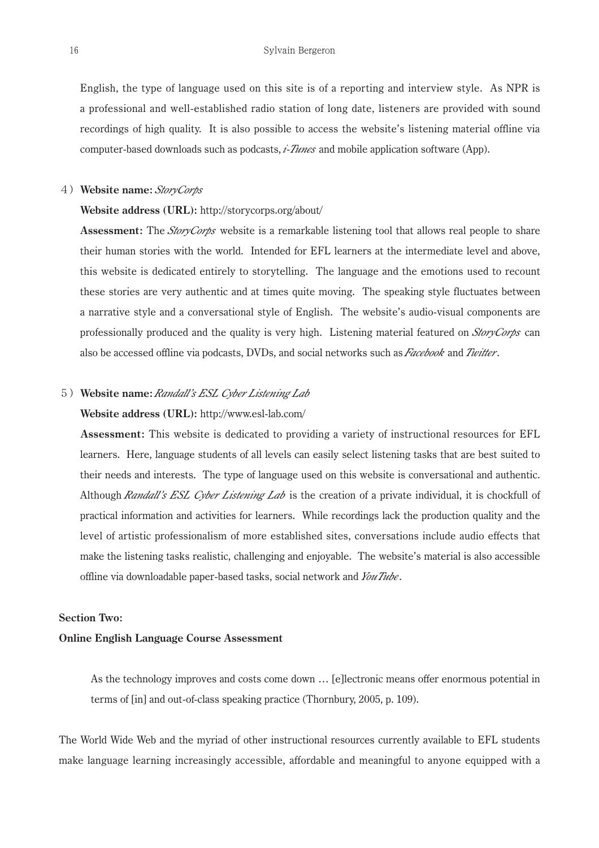English, the type of language used on this site is of a reporting and interview style. As NPR is a professional and well-established radio station of long date, listeners are provided with sound recordings of high quality. It is also possible to access the website's listening material offline via computer-based downloads such as podcasts, *i-Tunes* and mobile application software (App).

### 4)**Website name:** *StoryCorps*

### **Website address (URL):** http://storycorps.org/about/

 **Assessment:** The *StoryCorps* website is a remarkable listening tool that allows real people to share their human stories with the world. Intended for EFL learners at the intermediate level and above, this website is dedicated entirely to storytelling. The language and the emotions used to recount these stories are very authentic and at times quite moving. The speaking style fluctuates between a narrative style and a conversational style of English. The website's audio-visual components are professionally produced and the quality is very high. Listening material featured on *StoryCorps* can also be accessed offline via podcasts, DVDs, and social networks such as *Facebook* and *Twitter*.

### 5)**Website name:***Randall's ESL Cyber Listening Lab*

### **Website address (URL):** http://www.esl-lab.com/

 **Assessment:** This website is dedicated to providing a variety of instructional resources for EFL learners. Here, language students of all levels can easily select listening tasks that are best suited to their needs and interests. The type of language used on this website is conversational and authentic. Although *Randall's ESL Cyber Listening Lab* is the creation of a private individual, it is chockfull of practical information and activities for learners. While recordings lack the production quality and the level of artistic professionalism of more established sites, conversations include audio effects that make the listening tasks realistic, challenging and enjoyable. The website's material is also accessible offline via downloadable paper-based tasks, social network and *YouTube*.

### **Section Two:**

#### **Online English Language Course Assessment**

 As the technology improves and costs come down … [e]lectronic means offer enormous potential in terms of [in] and out-of-class speaking practice (Thornbury, 2005, p. 109).

The World Wide Web and the myriad of other instructional resources currently available to EFL students make language learning increasingly accessible, affordable and meaningful to anyone equipped with a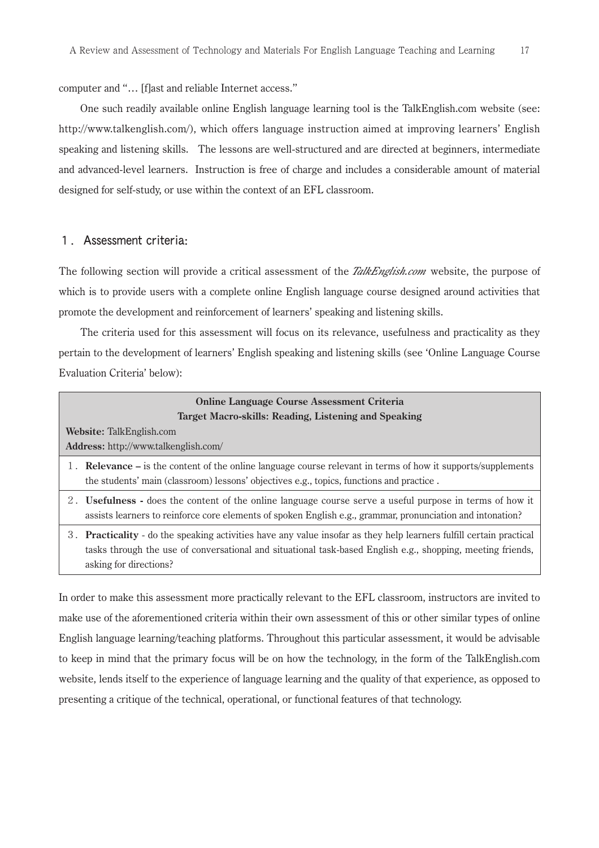computer and "… [f]ast and reliable Internet access."

 One such readily available online English language learning tool is the TalkEnglish.com website (see: http://www.talkenglish.com/), which offers language instruction aimed at improving learners' English speaking and listening skills. The lessons are well-structured and are directed at beginners, intermediate and advanced-level learners. Instruction is free of charge and includes a considerable amount of material designed for self-study, or use within the context of an EFL classroom.

### 1.Assessment criteria:

The following section will provide a critical assessment of the *TalkEnglish.com* website, the purpose of which is to provide users with a complete online English language course designed around activities that promote the development and reinforcement of learners' speaking and listening skills.

 The criteria used for this assessment will focus on its relevance, usefulness and practicality as they pertain to the development of learners' English speaking and listening skills (see 'Online Language Course Evaluation Criteria' below):

| <b>Online Language Course Assessment Criteria</b><br>Target Macro-skills: Reading, Listening and Speaking                                                                                                                                                    |  |
|--------------------------------------------------------------------------------------------------------------------------------------------------------------------------------------------------------------------------------------------------------------|--|
| Website: TalkEnglish.com<br><b>Address:</b> http://www.talkenglish.com/                                                                                                                                                                                      |  |
| 1. <b>Relevance</b> – is the content of the online language course relevant in terms of how it supports/supplements<br>the students' main (classroom) lessons' objectives e.g., topics, functions and practice.                                              |  |
| 2. Usefulness - does the content of the online language course serve a useful purpose in terms of how it<br>assists learners to reinforce core elements of spoken English e.g., grammar, pronunciation and intonation?                                       |  |
| 3. Practicality - do the speaking activities have any value insofar as they help learners fulfill certain practical<br>tasks through the use of conversational and situational task-based English e.g., shopping, meeting friends,<br>asking for directions? |  |

In order to make this assessment more practically relevant to the EFL classroom, instructors are invited to make use of the aforementioned criteria within their own assessment of this or other similar types of online English language learning/teaching platforms. Throughout this particular assessment, it would be advisable to keep in mind that the primary focus will be on how the technology, in the form of the TalkEnglish.com website, lends itself to the experience of language learning and the quality of that experience, as opposed to presenting a critique of the technical, operational, or functional features of that technology.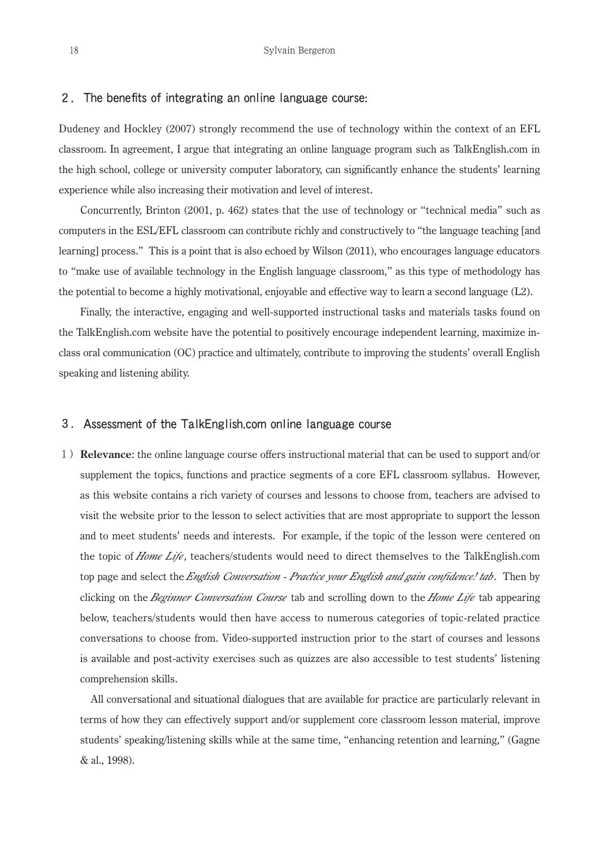### 2.The benefits of integrating an online language course:

Dudeney and Hockley (2007) strongly recommend the use of technology within the context of an EFL classroom. In agreement, I argue that integrating an online language program such as TalkEnglish.com in the high school, college or university computer laboratory, can significantly enhance the students' learning experience while also increasing their motivation and level of interest.

 Concurrently, Brinton (2001, p. 462) states that the use of technology or "technical media" such as computers in the ESL/EFL classroom can contribute richly and constructively to "the language teaching [and learning] process." This is a point that is also echoed by Wilson (2011), who encourages language educators to "make use of available technology in the English language classroom," as this type of methodology has the potential to become a highly motivational, enjoyable and effective way to learn a second language (L2).

 Finally, the interactive, engaging and well-supported instructional tasks and materials tasks found on the TalkEnglish.com website have the potential to positively encourage independent learning, maximize inclass oral communication (OC) practice and ultimately, contribute to improving the students' overall English speaking and listening ability.

### 3.Assessment of the TalkEnglish.com online language course

1)**Relevance**: the online language course offers instructional material that can be used to support and/or supplement the topics, functions and practice segments of a core EFL classroom syllabus. However, as this website contains a rich variety of courses and lessons to choose from, teachers are advised to visit the website prior to the lesson to select activities that are most appropriate to support the lesson and to meet students' needs and interests. For example, if the topic of the lesson were centered on the topic of *Home Life*, teachers/students would need to direct themselves to the TalkEnglish.com top page and select the *English Conversation - Practice your English and gain confidence! tab*. Then by clicking on the *Beginner Conversation Course* tab and scrolling down to the *Home Life* tab appearing below, teachers/students would then have access to numerous categories of topic-related practice conversations to choose from. Video-supported instruction prior to the start of courses and lessons is available and post-activity exercises such as quizzes are also accessible to test students' listening comprehension skills.

 All conversational and situational dialogues that are available for practice are particularly relevant in terms of how they can effectively support and/or supplement core classroom lesson material, improve students' speaking/listening skills while at the same time, "enhancing retention and learning," (Gagne & al., 1998).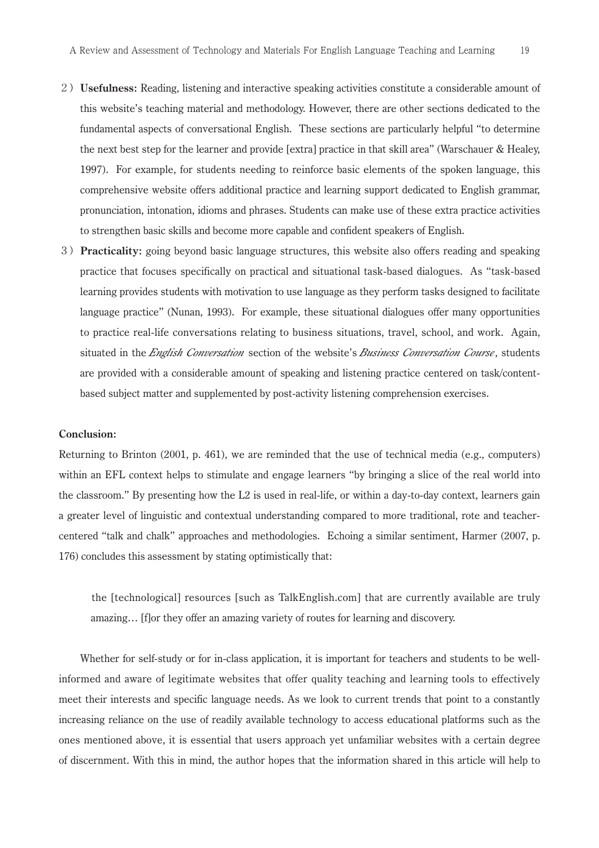- 2)**Usefulness:** Reading, listening and interactive speaking activities constitute a considerable amount of this website's teaching material and methodology. However, there are other sections dedicated to the fundamental aspects of conversational English. These sections are particularly helpful "to determine the next best step for the learner and provide [extra] practice in that skill area" (Warschauer & Healey, 1997). For example, for students needing to reinforce basic elements of the spoken language, this comprehensive website offers additional practice and learning support dedicated to English grammar, pronunciation, intonation, idioms and phrases. Students can make use of these extra practice activities to strengthen basic skills and become more capable and confident speakers of English.
- 3)**Practicality:** going beyond basic language structures, this website also offers reading and speaking practice that focuses specifically on practical and situational task-based dialogues. As "task-based learning provides students with motivation to use language as they perform tasks designed to facilitate language practice" (Nunan, 1993). For example, these situational dialogues offer many opportunities to practice real-life conversations relating to business situations, travel, school, and work. Again, situated in the *English Conversation* section of the website's *Business Conversation Course*, students are provided with a considerable amount of speaking and listening practice centered on task/contentbased subject matter and supplemented by post-activity listening comprehension exercises.

### **Conclusion:**

Returning to Brinton (2001, p. 461), we are reminded that the use of technical media (e.g., computers) within an EFL context helps to stimulate and engage learners "by bringing a slice of the real world into the classroom." By presenting how the L2 is used in real-life, or within a day-to-day context, learners gain a greater level of linguistic and contextual understanding compared to more traditional, rote and teachercentered "talk and chalk" approaches and methodologies. Echoing a similar sentiment, Harmer (2007, p. 176) concludes this assessment by stating optimistically that:

 the [technological] resources [such as TalkEnglish.com] that are currently available are truly amazing… [f]or they offer an amazing variety of routes for learning and discovery.

 Whether for self-study or for in-class application, it is important for teachers and students to be wellinformed and aware of legitimate websites that offer quality teaching and learning tools to effectively meet their interests and specific language needs. As we look to current trends that point to a constantly increasing reliance on the use of readily available technology to access educational platforms such as the ones mentioned above, it is essential that users approach yet unfamiliar websites with a certain degree of discernment. With this in mind, the author hopes that the information shared in this article will help to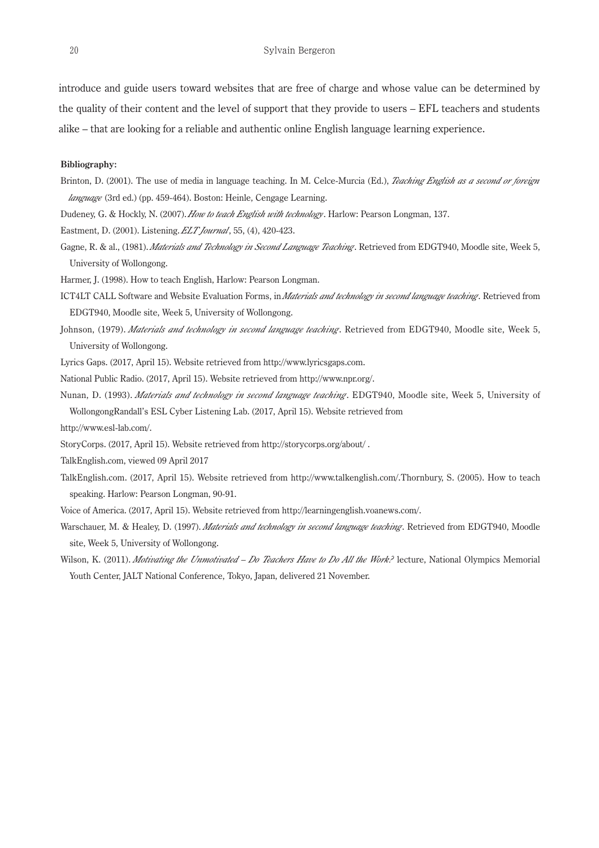introduce and guide users toward websites that are free of charge and whose value can be determined by the quality of their content and the level of support that they provide to users – EFL teachers and students alike – that are looking for a reliable and authentic online English language learning experience.

#### **Bibliography:**

- Brinton, D. (2001). The use of media in language teaching. In M. Celce-Murcia (Ed.), *Teaching English as a second or foreign language* (3rd ed.) (pp. 459-464). Boston: Heinle, Cengage Learning.
- Dudeney, G. & Hockly, N. (2007). *How to teach English with technology* . Harlow: Pearson Longman, 137.
- Eastment, D. (2001). Listening. *ELT Journal*, 55, (4), 420-423.
- Gagne, R. & al., (1981). *Materials and Technology in Second Language Teaching*. Retrieved from EDGT940, Moodle site, Week 5, University of Wollongong.
- Harmer, J. (1998). How to teach English, Harlow: Pearson Longman.
- ICT4LT CALL Software and Website Evaluation Forms, in *Materials and technology in second language teaching*. Retrieved from EDGT940, Moodle site, Week 5, University of Wollongong.
- Johnson, (1979). *Materials and technology in second language teaching* . Retrieved from EDGT940, Moodle site, Week 5, University of Wollongong.
- Lyrics Gaps. (2017, April 15). Website retrieved from http://www.lyricsgaps.com.
- National Public Radio. (2017, April 15). Website retrieved from http://www.npr.org/.
- Nunan, D. (1993). *Materials and technology in second language teaching* . EDGT940, Moodle site, Week 5, University of WollongongRandall's ESL Cyber Listening Lab. (2017, April 15). Website retrieved from

http://www.esl-lab.com/.

- StoryCorps. (2017, April 15). Website retrieved from http://storycorps.org/about/ .
- TalkEnglish.com, viewed 09 April 2017
- TalkEnglish.com. (2017, April 15). Website retrieved from http://www.talkenglish.com/.Thornbury, S. (2005). How to teach speaking. Harlow: Pearson Longman, 90-91.
- Voice of America. (2017, April 15). Website retrieved from http://learningenglish.voanews.com/.
- Warschauer, M. & Healey, D. (1997). *Materials and technology in second language teaching*. Retrieved from EDGT940, Moodle site, Week 5, University of Wollongong.
- Wilson, K. (2011). *Motivating the Unmotivated Do Teachers Have to Do All the Work?* lecture, National Olympics Memorial Youth Center, JALT National Conference, Tokyo, Japan, delivered 21 November.